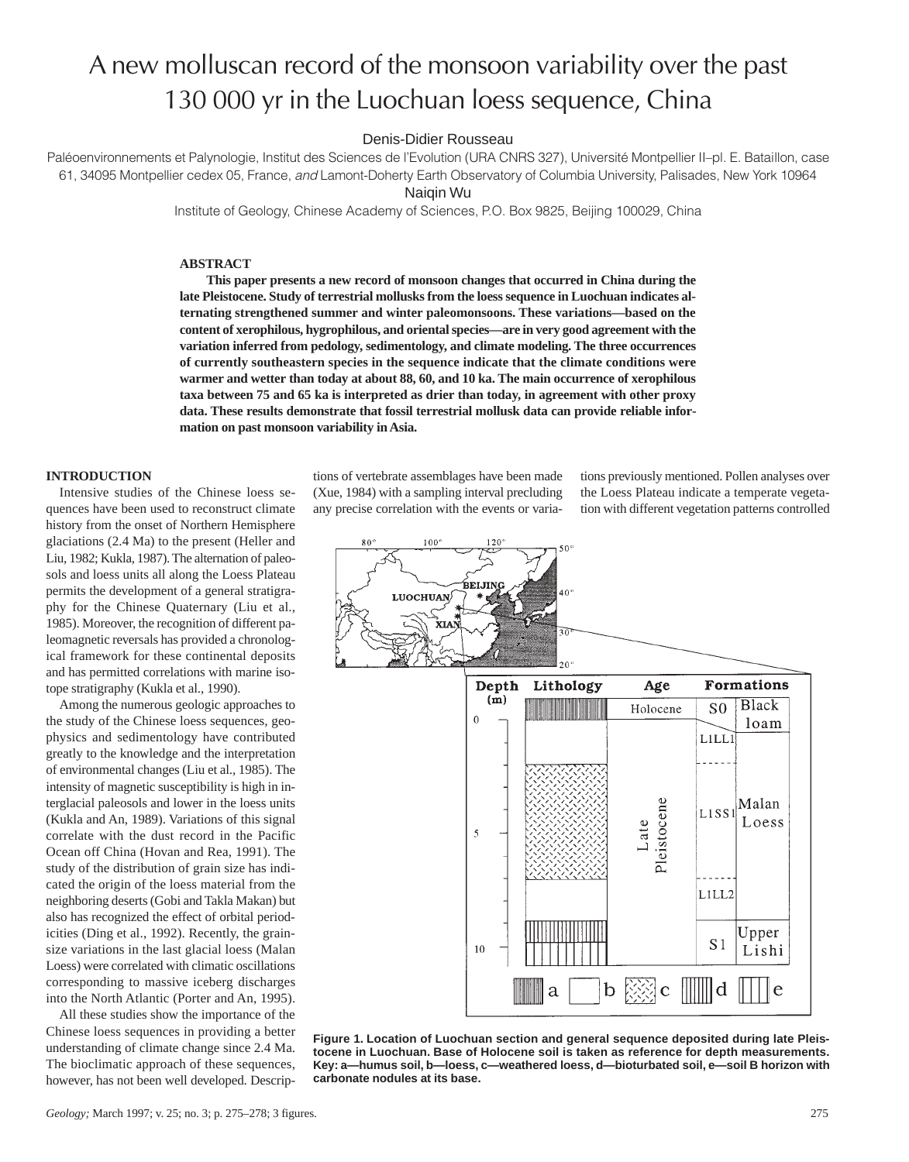# A new molluscan record of the monsoon variability over the past 130 000 yr in the Luochuan loess sequence, China

## Denis-Didier Rousseau

Paléoenvironnements et Palynologie, Institut des Sciences de l'Evolution (URA CNRS 327), Université Montpellier II–pl. E. Bataillon, case 61, 34095 Montpellier cedex 05, France, and Lamont-Doherty Earth Observatory of Columbia University, Palisades, New York 10964

Naiqin Wu

Institute of Geology, Chinese Academy of Sciences, P.O. Box 9825, Beijing 100029, China

## **ABSTRACT**

**This paper presents a new record of monsoon changes that occurred in China during the late Pleistocene. Study of terrestrial mollusks from the loess sequence in Luochuan indicates alternating strengthened summer and winter paleomonsoons. These variations—based on the content of xerophilous, hygrophilous, and oriental species—are in very good agreement with the variation inferred from pedology, sedimentology, and climate modeling. The three occurrences of currently southeastern species in the sequence indicate that the climate conditions were warmer and wetter than today at about 88, 60, and 10 ka. The main occurrence of xerophilous taxa between 75 and 65 ka is interpreted as drier than today, in agreement with other proxy data. These results demonstrate that fossil terrestrial mollusk data can provide reliable information on past monsoon variability in Asia.**

## **INTRODUCTION**

Intensive studies of the Chinese loess sequences have been used to reconstruct climate history from the onset of Northern Hemisphere glaciations (2.4 Ma) to the present (Heller and Liu, 1982; Kukla, 1987). The alternation of paleosols and loess units all along the Loess Plateau permits the development of a general stratigraphy for the Chinese Quaternary (Liu et al., 1985). Moreover, the recognition of different paleomagnetic reversals has provided a chronological framework for these continental deposits and has permitted correlations with marine isotope stratigraphy (Kukla et al., 1990).

Among the numerous geologic approaches to the study of the Chinese loess sequences, geophysics and sedimentology have contributed greatly to the knowledge and the interpretation of environmental changes (Liu et al., 1985). The intensity of magnetic susceptibility is high in interglacial paleosols and lower in the loess units (Kukla and An, 1989). Variations of this signal correlate with the dust record in the Pacific Ocean off China (Hovan and Rea, 1991). The study of the distribution of grain size has indicated the origin of the loess material from the neighboring deserts (Gobi and Takla Makan) but also has recognized the effect of orbital periodicities (Ding et al., 1992). Recently, the grainsize variations in the last glacial loess (Malan Loess) were correlated with climatic oscillations corresponding to massive iceberg discharges into the North Atlantic (Porter and An, 1995).

All these studies show the importance of the Chinese loess sequences in providing a better understanding of climate change since 2.4 Ma. The bioclimatic approach of these sequences, however, has not been well developed. Descriptions of vertebrate assemblages have been made (Xue, 1984) with a sampling interval precluding any precise correlation with the events or variations previously mentioned. Pollen analyses over the Loess Plateau indicate a temperate vegetation with different vegetation patterns controlled





**Figure 1. Location of Luochuan section and general sequence deposited during late Pleistocene in Luochuan. Base of Holocene soil is taken as reference for depth measurements. Key: a—humus soil, b—loess, c—weathered loess, d—bioturbated soil, e—soil B horizon with carbonate nodules at its base.**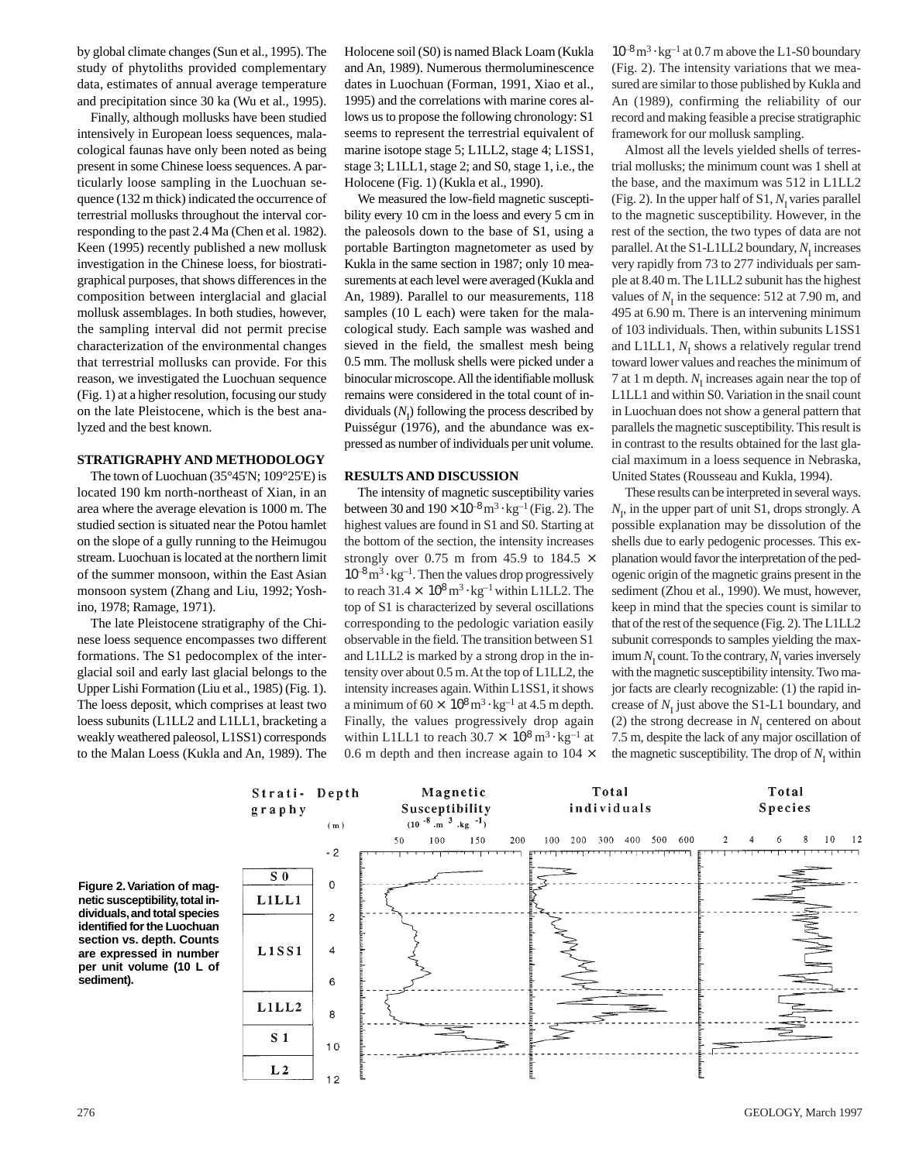by global climate changes (Sun et al., 1995). The study of phytoliths provided complementary data, estimates of annual average temperature and precipitation since 30 ka (Wu et al., 1995).

Finally, although mollusks have been studied intensively in European loess sequences, malacological faunas have only been noted as being present in some Chinese loess sequences. A particularly loose sampling in the Luochuan sequence (132 m thick) indicated the occurrence of terrestrial mollusks throughout the interval corresponding to the past 2.4 Ma (Chen et al. 1982). Keen (1995) recently published a new mollusk investigation in the Chinese loess, for biostratigraphical purposes, that shows differences in the composition between interglacial and glacial mollusk assemblages. In both studies, however, the sampling interval did not permit precise characterization of the environmental changes that terrestrial mollusks can provide. For this reason, we investigated the Luochuan sequence (Fig. 1) at a higher resolution, focusing our study on the late Pleistocene, which is the best analyzed and the best known.

#### **STRATIGRAPHY AND METHODOLOGY**

The town of Luochuan (35°45'N; 109°25'E) is located 190 km north-northeast of Xian, in an area where the average elevation is 1000 m. The studied section is situated near the Potou hamlet on the slope of a gully running to the Heimugou stream. Luochuan is located at the northern limit of the summer monsoon, within the East Asian monsoon system (Zhang and Liu, 1992; Yoshino, 1978; Ramage, 1971).

The late Pleistocene stratigraphy of the Chinese loess sequence encompasses two different formations. The S1 pedocomplex of the interglacial soil and early last glacial belongs to the Upper Lishi Formation (Liu et al., 1985) (Fig. 1). The loess deposit, which comprises at least two loess subunits (L1LL2 and L1LL1, bracketing a weakly weathered paleosol, L1SS1) corresponds to the Malan Loess (Kukla and An, 1989). The Holocene soil (S0) is named Black Loam (Kukla and An, 1989). Numerous thermoluminescence dates in Luochuan (Forman, 1991, Xiao et al., 1995) and the correlations with marine cores allows us to propose the following chronology: S1 seems to represent the terrestrial equivalent of marine isotope stage 5; L1LL2, stage 4; L1SS1, stage 3; L1LL1, stage 2; and S0, stage 1, i.e., the Holocene (Fig. 1) (Kukla et al., 1990).

We measured the low-field magnetic susceptibility every 10 cm in the loess and every 5 cm in the paleosols down to the base of S1, using a portable Bartington magnetometer as used by Kukla in the same section in 1987; only 10 measurements at each level were averaged (Kukla and An, 1989). Parallel to our measurements, 118 samples (10 L each) were taken for the malacological study. Each sample was washed and sieved in the field, the smallest mesh being 0.5 mm. The mollusk shells were picked under a binocular microscope. All the identifiable mollusk remains were considered in the total count of individuals  $(N<sub>I</sub>)$  following the process described by Puisségur (1976), and the abundance was expressed as number of individuals per unit volume.

### **RESULTS AND DISCUSSION**

The intensity of magnetic susceptibility varies between 30 and  $190 \times 10^{-8}$  m<sup>3</sup> ⋅ kg<sup>-1</sup> (Fig. 2). The highest values are found in S1 and S0. Starting at the bottom of the section, the intensity increases strongly over 0.75 m from 45.9 to 184.5  $\times$  $10^{-8}$  m<sup>3</sup> ⋅ kg<sup>-1</sup>. Then the values drop progressively to reach  $31.4 \times 10^8$  m<sup>3</sup> ⋅ kg<sup>-1</sup> within L1LL2. The top of S1 is characterized by several oscillations corresponding to the pedologic variation easily observable in the field. The transition between S1 and L1LL2 is marked by a strong drop in the intensity over about 0.5 m. At the top of L1LL2, the intensity increases again. Within L1SS1, it shows a minimum of  $60 \times 10^8 \,\mathrm{m}^3 \cdot \mathrm{kg}^{-1}$  at 4.5 m depth. Finally, the values progressively drop again within L1LL1 to reach  $30.7 \times 10^8$  m<sup>3</sup> ⋅ kg<sup>-1</sup> at 0.6 m depth and then increase again to  $104 \times$   $10^{-8}$  m<sup>3</sup> ⋅ kg<sup>-1</sup> at 0.7 m above the L1-S0 boundary (Fig. 2). The intensity variations that we measured are similar to those published by Kukla and An (1989), confirming the reliability of our record and making feasible a precise stratigraphic framework for our mollusk sampling.

Almost all the levels yielded shells of terrestrial mollusks; the minimum count was 1 shell at the base, and the maximum was 512 in L1LL2 (Fig. 2). In the upper half of  $S1$ ,  $N<sub>I</sub>$  varies parallel to the magnetic susceptibility. However, in the rest of the section, the two types of data are not parallel. At the S1-L1LL2 boundary,  $N<sub>I</sub>$  increases very rapidly from 73 to 277 individuals per sample at 8.40 m. The L1LL2 subunit has the highest values of  $N<sub>I</sub>$  in the sequence: 512 at 7.90 m, and 495 at 6.90 m. There is an intervening minimum of 103 individuals. Then, within subunits L1SS1 and L1LL1,  $N_I$  shows a relatively regular trend toward lower values and reaches the minimum of 7 at 1 m depth.  $N<sub>I</sub>$  increases again near the top of L1LL1 and within S0. Variation in the snail count in Luochuan does not show a general pattern that parallels the magnetic susceptibility. This result is in contrast to the results obtained for the last glacial maximum in a loess sequence in Nebraska, United States (Rousseau and Kukla, 1994).

These results can be interpreted in several ways.  $N_I$ , in the upper part of unit S1, drops strongly. A possible explanation may be dissolution of the shells due to early pedogenic processes. This explanation would favor the interpretation of the pedogenic origin of the magnetic grains present in the sediment (Zhou et al., 1990). We must, however, keep in mind that the species count is similar to that of the rest of the sequence (Fig. 2). The L1LL2 subunit corresponds to samples yielding the maximum  $N_I$  count. To the contrary,  $N_I$  varies inversely with the magnetic susceptibility intensity. Two major facts are clearly recognizable: (1) the rapid increase of  $N<sub>I</sub>$  just above the S1-L1 boundary, and (2) the strong decrease in  $N<sub>I</sub>$  centered on about 7.5 m, despite the lack of any major oscillation of the magnetic susceptibility. The drop of  $N<sub>I</sub>$  within

**Figure 2.Variation of magnetic susceptibility,total individuals,and total species identified for the Luochuan section vs. depth. Counts are expressed in number per unit volume (10 L of sediment).**

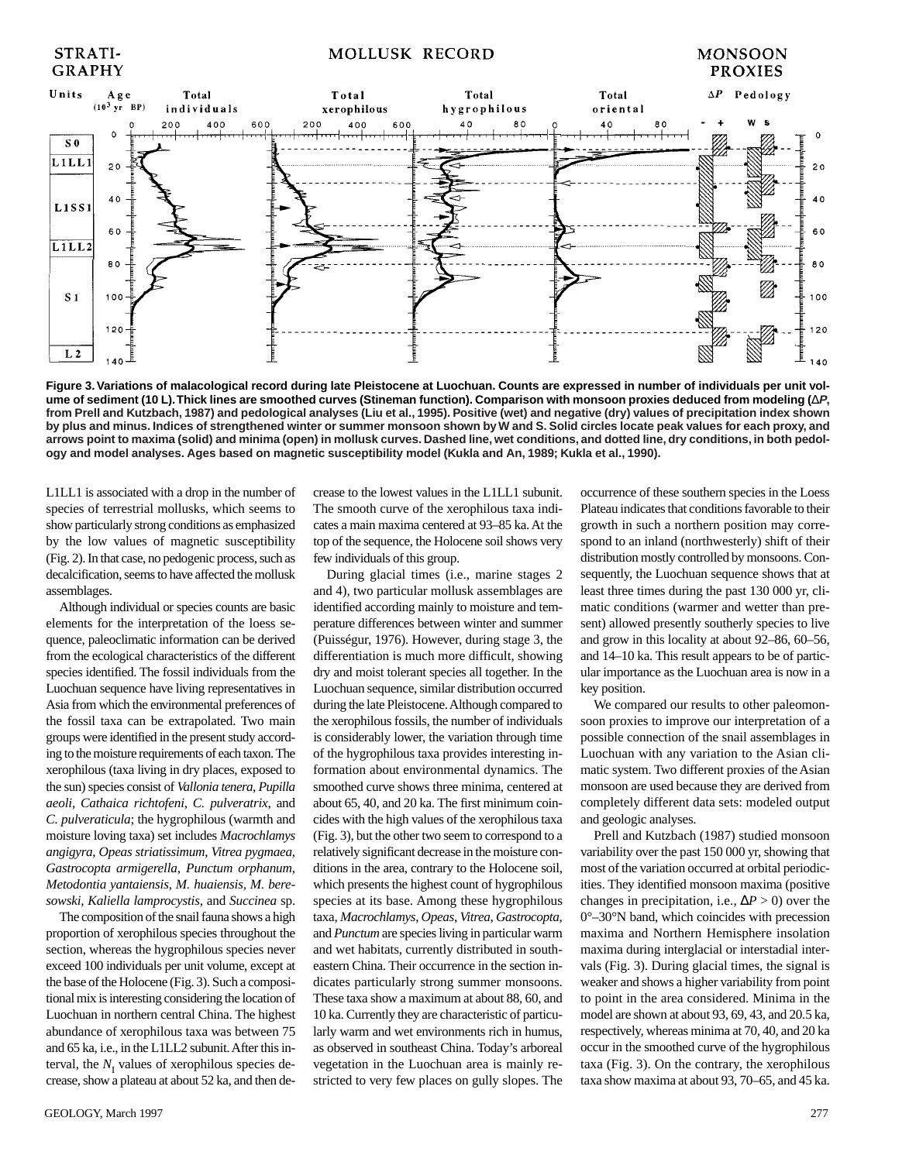# **MOLLUSK RECORD**

## **MONSOON PROXIES**



**Figure 3. Variations of malacological record during late Pleistocene at Luochuan. Counts are expressed in number of individuals per unit volume of sediment (10 L).Thick lines are smoothed curves (Stineman function). Comparison with monsoon proxies deduced from modeling (**∆**P, from Prell and Kutzbach, 1987) and pedological analyses (Liu et al., 1995). Positive (wet) and negative (dry) values of precipitation index shown by plus and minus. Indices of strengthened winter or summer monsoon shown by W and S. Solid circles locate peak values for each proxy, and arrows point to maxima (solid) and minima (open) in mollusk curves. Dashed line, wet conditions, and dotted line, dry conditions, in both pedology and model analyses. Ages based on magnetic susceptibility model (Kukla and An, 1989; Kukla et al., 1990).**

L1LL1 is associated with a drop in the number of species of terrestrial mollusks, which seems to show particularly strong conditions as emphasized by the low values of magnetic susceptibility (Fig. 2). In that case, no pedogenic process, such as decalcification, seems to have affected the mollusk assemblages.

STRATI-

**GRAPHY** 

Although individual or species counts are basic elements for the interpretation of the loess sequence, paleoclimatic information can be derived from the ecological characteristics of the different species identified. The fossil individuals from the Luochuan sequence have living representatives in Asia from which the environmental preferences of the fossil taxa can be extrapolated. Two main groups were identified in the present study according to the moisture requirements of each taxon. The xerophilous (taxa living in dry places, exposed to the sun) species consist of *Vallonia tenera*, *Pupilla aeoli*, *Cathaica richtofeni*, *C. pulveratrix*, and *C. pulveraticula*; the hygrophilous (warmth and moisture loving taxa) set includes *Macrochlamys angigyra*, *Opeas striatissimum*, *Vitrea pygmaea*, *Gastrocopta armigerella*, *Punctum orphanum*, *Metodontia yantaiensis*, *M. huaiensis, M. beresowski*, *Kaliella lamprocystis*, and *Succinea* sp.

The composition of the snail fauna shows a high proportion of xerophilous species throughout the section, whereas the hygrophilous species never exceed 100 individuals per unit volume, except at the base of the Holocene (Fig. 3). Such a compositional mix is interesting considering the location of Luochuan in northern central China. The highest abundance of xerophilous taxa was between 75 and 65 ka, i.e., in the L1LL2 subunit. After this interval, the  $N<sub>I</sub>$  values of xerophilous species decrease, show a plateau at about 52 ka, and then decrease to the lowest values in the L1LL1 subunit. The smooth curve of the xerophilous taxa indicates a main maxima centered at 93–85 ka. At the top of the sequence, the Holocene soil shows very few individuals of this group.

During glacial times (i.e., marine stages 2 and 4), two particular mollusk assemblages are identified according mainly to moisture and temperature differences between winter and summer (Puisségur, 1976). However, during stage 3, the differentiation is much more difficult, showing dry and moist tolerant species all together. In the Luochuan sequence, similar distribution occurred during the late Pleistocene. Although compared to the xerophilous fossils, the number of individuals is considerably lower, the variation through time of the hygrophilous taxa provides interesting information about environmental dynamics. The smoothed curve shows three minima, centered at about 65, 40, and 20 ka. The first minimum coincides with the high values of the xerophilous taxa (Fig. 3), but the other two seem to correspond to a relatively significant decrease in the moisture conditions in the area, contrary to the Holocene soil, which presents the highest count of hygrophilous species at its base. Among these hygrophilous taxa, *Macrochlamys*, *Opeas*, *Vitrea*, *Gastrocopta*, and *Punctum* are species living in particular warm and wet habitats, currently distributed in southeastern China. Their occurrence in the section indicates particularly strong summer monsoons. These taxa show a maximum at about 88, 60, and 10 ka. Currently they are characteristic of particularly warm and wet environments rich in humus, as observed in southeast China. Today's arboreal vegetation in the Luochuan area is mainly restricted to very few places on gully slopes. The

occurrence of these southern species in the Loess Plateau indicates that conditions favorable to their growth in such a northern position may correspond to an inland (northwesterly) shift of their distribution mostly controlled by monsoons. Consequently, the Luochuan sequence shows that at least three times during the past 130 000 yr, climatic conditions (warmer and wetter than present) allowed presently southerly species to live and grow in this locality at about 92–86, 60–56, and 14–10 ka. This result appears to be of particular importance as the Luochuan area is now in a key position.

We compared our results to other paleomonsoon proxies to improve our interpretation of a possible connection of the snail assemblages in Luochuan with any variation to the Asian climatic system. Two different proxies of the Asian monsoon are used because they are derived from completely different data sets: modeled output and geologic analyses.

Prell and Kutzbach (1987) studied monsoon variability over the past 150 000 yr, showing that most of the variation occurred at orbital periodicities. They identified monsoon maxima (positive changes in precipitation, i.e.,  $\Delta P > 0$ ) over the 0°–30°N band, which coincides with precession maxima and Northern Hemisphere insolation maxima during interglacial or interstadial intervals (Fig. 3). During glacial times, the signal is weaker and shows a higher variability from point to point in the area considered. Minima in the model are shown at about 93, 69, 43, and 20.5 ka, respectively, whereas minima at 70, 40, and 20 ka occur in the smoothed curve of the hygrophilous taxa (Fig. 3). On the contrary, the xerophilous taxa show maxima at about 93, 70–65, and 45 ka.